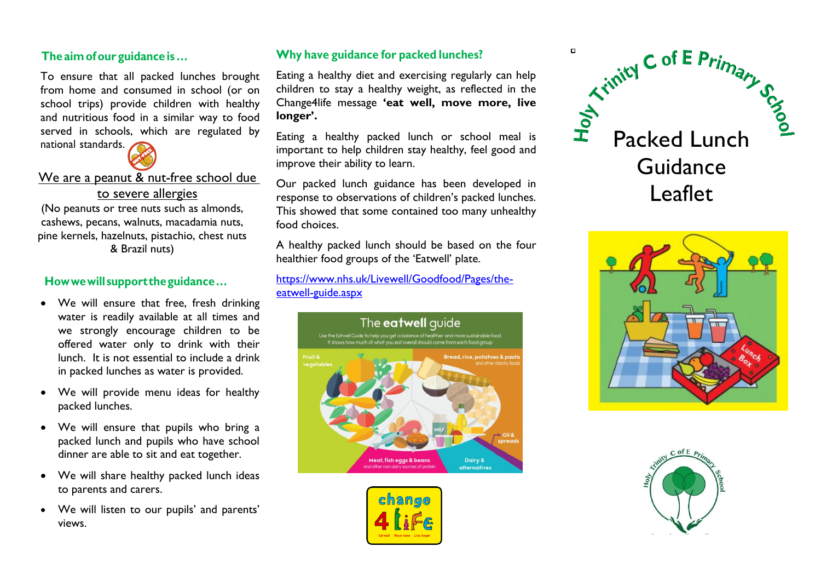# **Theaimof our guidance is…**

To ensure that all packed lunches brought from home and consumed in school (or on school trips) provide children with healthy and nutritious food in a similar way to food served in schools, which are regulated by national standards.

# We are a peanut & nut-free school due

#### to severe allergies

(No peanuts or tree nuts such as almonds, cashews, pecans, walnuts, macadamia nuts, pine kernels, hazelnuts, pistachio, chest nuts & Brazil nuts)

# **Howwewill supporttheguidance…**

- We will ensure that free, fresh drinking water is readily available at all times and we strongly encourage children to be offered water only to drink with their lunch. It is not essential to include a drink in packed lunches as water is provided.
- We will provide menu ideas for healthy packed lunches.
- We will ensure that pupils who bring a packed lunch and pupils who have school dinner are able to sit and eat together.
- We will share healthy packed lunch ideas to parents and carers.
- We will listen to our pupils' and parents' views.

# **Why have guidance for packed lunches?**

Eating a healthy diet and exercising regularly can help children to stay a healthy weight, as reflected in the Change4life message **'eat well, move more, live longer'.**

Eating a healthy packed lunch or school meal is important to help children stay healthy, feel good and improve their ability to learn.

Our packed lunch guidance has been developed in response to observations of children's packed lunches. This showed that some contained too many unhealthy food choices.

A healthy packed lunch should be based on the four healthier food groups of the 'Eatwell' plate.

## [https://www.nhs.uk/Livewell/Goodfood/Pages/the](https://www.nhs.uk/Livewell/Goodfood/Pages/the-eatwell-guide.aspx)[eatwell-guide.aspx](https://www.nhs.uk/Livewell/Goodfood/Pages/the-eatwell-guide.aspx)





C of E Primar **Packed Lunch**<br>
Packed Lunch Guidance Leaflet

 $\Box$